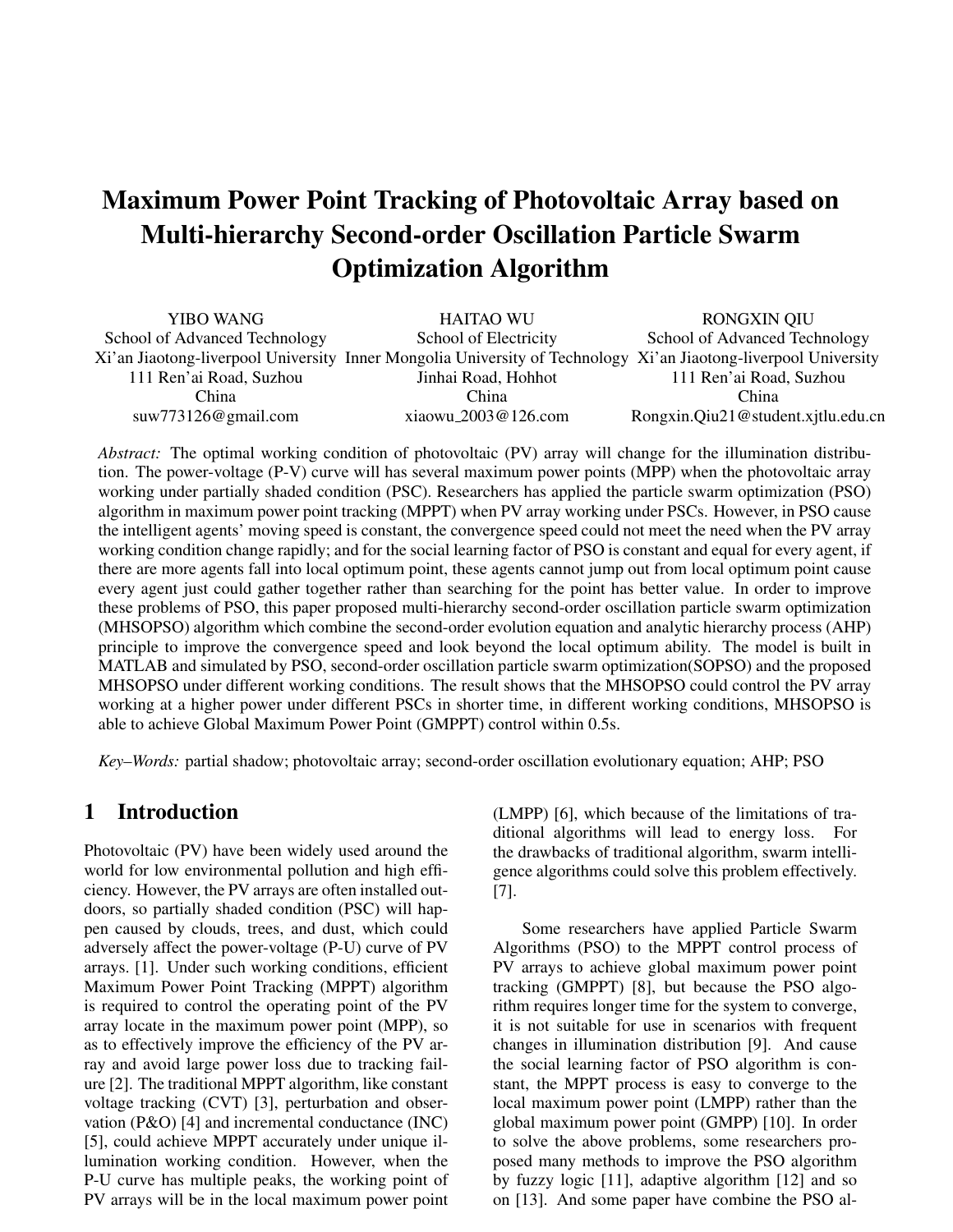# Maximum Power Point Tracking of Photovoltaic Array based on Multi-hierarchy Second-order Oscillation Particle Swarm Optimization Algorithm

| YIBO WANG                     | <b>HAITAO WU</b>                                                                                                | <b>RONGXIN OIU</b>            |  |
|-------------------------------|-----------------------------------------------------------------------------------------------------------------|-------------------------------|--|
| School of Advanced Technology | School of Electricity                                                                                           | School of Advanced Technology |  |
|                               | Xi'an Jiaotong-liverpool University Inner Mongolia University of Technology Xi'an Jiaotong-liverpool University |                               |  |
| 111 Ren'ai Road, Suzhou       | Jinhai Road, Hohhot                                                                                             | 111 Ren'ai Road, Suzhou       |  |
| $C_{\rm d}$                   | $C_{\rm d}$ .1                                                                                                  | C .1                          |  |

*Abstract:* The optimal working condition of photovoltaic (PV) array will change for the illumination distribution. The power-voltage (P-V) curve will has several maximum power points (MPP) when the photovoltaic array working under partially shaded condition (PSC). Researchers has applied the particle swarm optimization (PSO) algorithm in maximum power point tracking (MPPT) when PV array working under PSCs. However, in PSO cause the intelligent agents' moving speed is constant, the convergence speed could not meet the need when the PV array working condition change rapidly; and for the social learning factor of PSO is constant and equal for every agent, if there are more agents fall into local optimum point, these agents cannot jump out from local optimum point cause every agent just could gather together rather than searching for the point has better value. In order to improve these problems of PSO, this paper proposed multi-hierarchy second-order oscillation particle swarm optimization (MHSOPSO) algorithm which combine the second-order evolution equation and analytic hierarchy process (AHP) principle to improve the convergence speed and look beyond the local optimum ability. The model is built in MATLAB and simulated by PSO, second-order oscillation particle swarm optimization(SOPSO) and the proposed MHSOPSO under different working conditions. The result shows that the MHSOPSO could control the PV array working at a higher power under different PSCs in shorter time, in different working conditions, MHSOPSO is able to achieve Global Maximum Power Point (GMPPT) control within 0.5s.

*Key–Words:* partial shadow; photovoltaic array; second-order oscillation evolutionary equation; AHP; PSO

## 1 Introduction

Photovoltaic (PV) have been widely used around the world for low environmental pollution and high efficiency. However, the PV arrays are often installed outdoors, so partially shaded condition (PSC) will happen caused by clouds, trees, and dust, which could adversely affect the power-voltage (P-U) curve of PV arrays. [1]. Under such working conditions, efficient Maximum Power Point Tracking (MPPT) algorithm is required to control the operating point of the PV array locate in the maximum power point (MPP), so as to effectively improve the efficiency of the PV array and avoid large power loss due to tracking failure [2]. The traditional MPPT algorithm, like constant voltage tracking (CVT) [3], perturbation and observation (P&O) [4] and incremental conductance (INC) [5], could achieve MPPT accurately under unique illumination working condition. However, when the P-U curve has multiple peaks, the working point of PV arrays will be in the local maximum power point (LMPP) [6], which because of the limitations of traditional algorithms will lead to energy loss. For the drawbacks of traditional algorithm, swarm intelligence algorithms could solve this problem effectively. [7].

Some researchers have applied Particle Swarm Algorithms (PSO) to the MPPT control process of PV arrays to achieve global maximum power point tracking (GMPPT) [8], but because the PSO algorithm requires longer time for the system to converge, it is not suitable for use in scenarios with frequent changes in illumination distribution [9]. And cause the social learning factor of PSO algorithm is constant, the MPPT process is easy to converge to the local maximum power point (LMPP) rather than the global maximum power point (GMPP) [10]. In order to solve the above problems, some researchers proposed many methods to improve the PSO algorithm by fuzzy logic [11], adaptive algorithm [12] and so on [13]. And some paper have combine the PSO al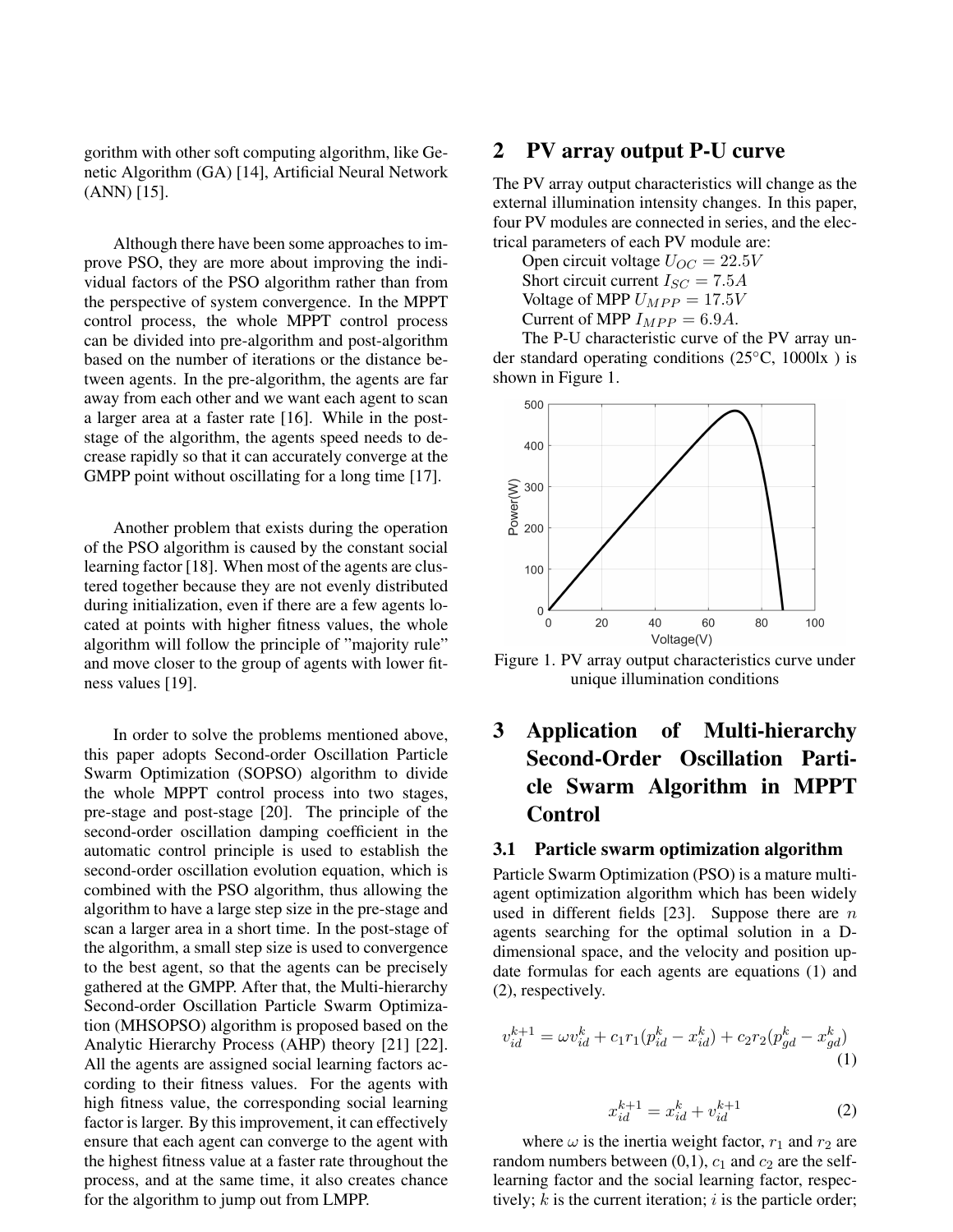gorithm with other soft computing algorithm, like Genetic Algorithm (GA) [14], Artificial Neural Network (ANN) [15].

Although there have been some approaches to improve PSO, they are more about improving the individual factors of the PSO algorithm rather than from the perspective of system convergence. In the MPPT control process, the whole MPPT control process can be divided into pre-algorithm and post-algorithm based on the number of iterations or the distance between agents. In the pre-algorithm, the agents are far away from each other and we want each agent to scan a larger area at a faster rate [16]. While in the poststage of the algorithm, the agents speed needs to decrease rapidly so that it can accurately converge at the GMPP point without oscillating for a long time [17].

Another problem that exists during the operation of the PSO algorithm is caused by the constant social learning factor [18]. When most of the agents are clustered together because they are not evenly distributed during initialization, even if there are a few agents located at points with higher fitness values, the whole algorithm will follow the principle of "majority rule" and move closer to the group of agents with lower fitness values [19].

In order to solve the problems mentioned above, this paper adopts Second-order Oscillation Particle Swarm Optimization (SOPSO) algorithm to divide the whole MPPT control process into two stages, pre-stage and post-stage [20]. The principle of the second-order oscillation damping coefficient in the automatic control principle is used to establish the second-order oscillation evolution equation, which is combined with the PSO algorithm, thus allowing the algorithm to have a large step size in the pre-stage and scan a larger area in a short time. In the post-stage of the algorithm, a small step size is used to convergence to the best agent, so that the agents can be precisely gathered at the GMPP. After that, the Multi-hierarchy Second-order Oscillation Particle Swarm Optimization (MHSOPSO) algorithm is proposed based on the Analytic Hierarchy Process (AHP) theory [21] [22]. All the agents are assigned social learning factors according to their fitness values. For the agents with high fitness value, the corresponding social learning factor is larger. By this improvement, it can effectively ensure that each agent can converge to the agent with the highest fitness value at a faster rate throughout the process, and at the same time, it also creates chance for the algorithm to jump out from LMPP.

## 2 PV array output P-U curve

The PV array output characteristics will change as the external illumination intensity changes. In this paper, four PV modules are connected in series, and the electrical parameters of each PV module are:

Open circuit voltage  $U_{OC} = 22.5V$ Short circuit current  $I_{SC} = 7.5A$ Voltage of MPP  $U_{MPP} = 17.5V$ Current of MPP  $I_{MPP} = 6.9A$ .

The P-U characteristic curve of the PV array under standard operating conditions (25◦C, 1000lx ) is shown in Figure 1.



Figure 1. PV array output characteristics curve under unique illumination conditions

## 3 Application of Multi-hierarchy Second-Order Oscillation Particle Swarm Algorithm in MPPT Control

## 3.1 Particle swarm optimization algorithm

Particle Swarm Optimization (PSO) is a mature multiagent optimization algorithm which has been widely used in different fields [23]. Suppose there are  $n$ agents searching for the optimal solution in a Ddimensional space, and the velocity and position update formulas for each agents are equations (1) and (2), respectively.

$$
v_{id}^{k+1} = \omega v_{id}^k + c_1 r_1 (p_{id}^k - x_{id}^k) + c_2 r_2 (p_{gd}^k - x_{gd}^k)
$$
\n(1)

$$
x_{id}^{k+1} = x_{id}^k + v_{id}^{k+1}
$$
 (2)

where  $\omega$  is the inertia weight factor,  $r_1$  and  $r_2$  are random numbers between  $(0,1)$ ,  $c_1$  and  $c_2$  are the selflearning factor and the social learning factor, respectively;  $k$  is the current iteration;  $i$  is the particle order;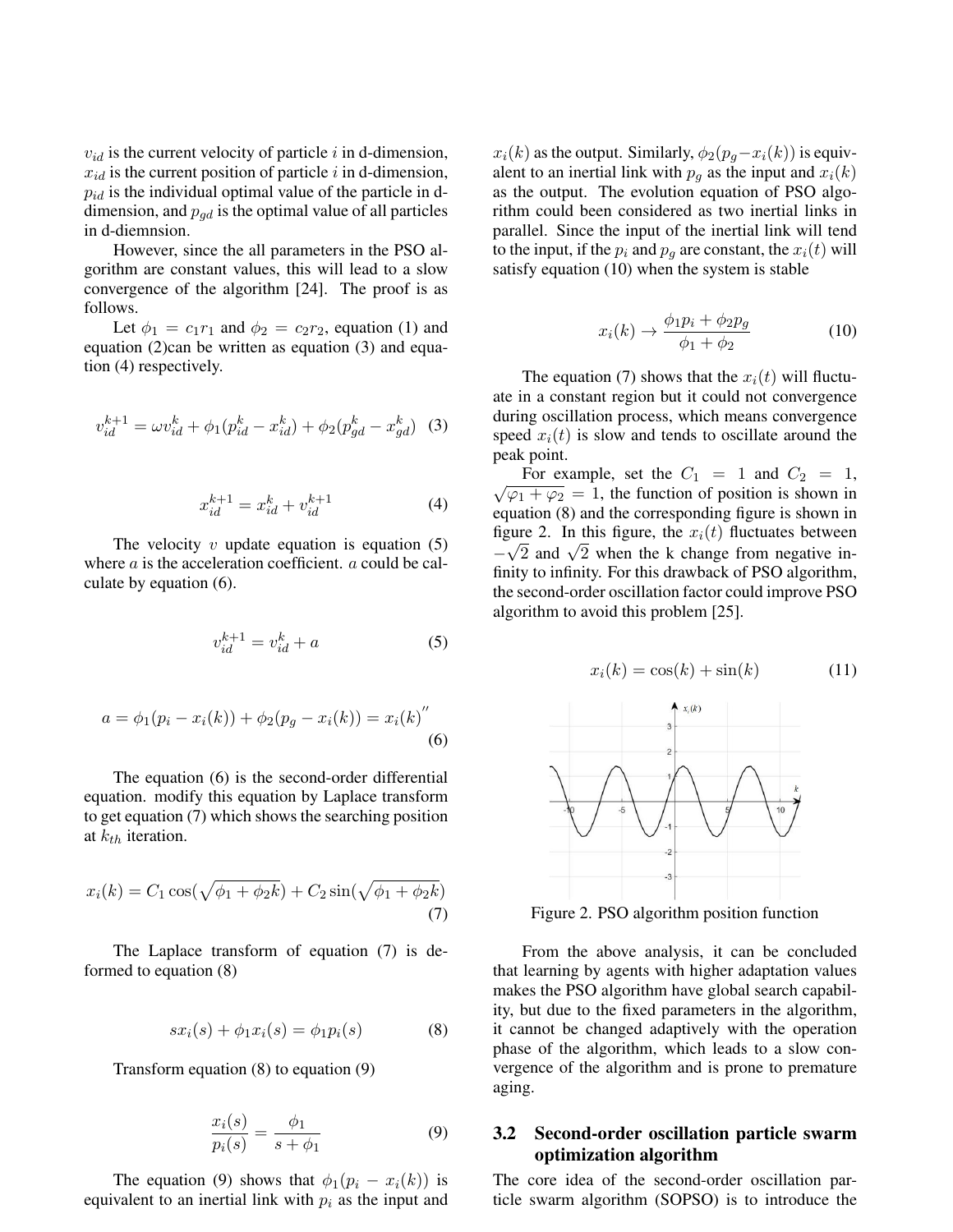$v_{id}$  is the current velocity of particle i in d-dimension,  $x_{id}$  is the current position of particle i in d-dimension,  $p_{id}$  is the individual optimal value of the particle in ddimension, and  $p_{qd}$  is the optimal value of all particles in d-diemnsion.

However, since the all parameters in the PSO algorithm are constant values, this will lead to a slow convergence of the algorithm [24]. The proof is as follows.

Let  $\phi_1 = c_1 r_1$  and  $\phi_2 = c_2 r_2$ , equation (1) and equation (2)can be written as equation (3) and equation (4) respectively.

$$
v_{id}^{k+1} = \omega v_{id}^k + \phi_1 (p_{id}^k - x_{id}^k) + \phi_2 (p_{gd}^k - x_{gd}^k)
$$
 (3)

$$
x_{id}^{k+1} = x_{id}^k + v_{id}^{k+1}
$$
 (4)

The velocity  $v$  update equation is equation  $(5)$ where *a* is the acceleration coefficient. *a* could be calculate by equation (6).

$$
v_{id}^{k+1} = v_{id}^k + a \tag{5}
$$

$$
a = \phi_1(p_i - x_i(k)) + \phi_2(p_g - x_i(k)) = x_i(k)''
$$
\n(6)

The equation (6) is the second-order differential equation. modify this equation by Laplace transform to get equation (7) which shows the searching position at  $k_{th}$  iteration.

$$
x_i(k) = C_1 \cos(\sqrt{\phi_1 + \phi_2 k}) + C_2 \sin(\sqrt{\phi_1 + \phi_2 k})
$$
\n(7)

The Laplace transform of equation (7) is deformed to equation (8)

$$
sx_i(s) + \phi_1 x_i(s) = \phi_1 p_i(s)
$$
 (8)

Transform equation (8) to equation (9)

$$
\frac{x_i(s)}{p_i(s)} = \frac{\phi_1}{s + \phi_1} \tag{9}
$$

The equation (9) shows that  $\phi_1(p_i - x_i(k))$  is equivalent to an inertial link with  $p_i$  as the input and  $x_i(k)$  as the output. Similarly,  $\phi_2(p_g-x_i(k))$  is equivalent to an inertial link with  $p<sub>g</sub>$  as the input and  $x<sub>i</sub>(k)$ as the output. The evolution equation of PSO algorithm could been considered as two inertial links in parallel. Since the input of the inertial link will tend to the input, if the  $p_i$  and  $p_q$  are constant, the  $x_i(t)$  will satisfy equation (10) when the system is stable

$$
x_i(k) \to \frac{\phi_1 p_i + \phi_2 p_g}{\phi_1 + \phi_2} \tag{10}
$$

The equation (7) shows that the  $x_i(t)$  will fluctuate in a constant region but it could not convergence during oscillation process, which means convergence speed  $x_i(t)$  is slow and tends to oscillate around the peak point.

For example, set the  $C_1 = 1$  and  $C_2 = 1$ ,  $\sqrt{\varphi_1 + \varphi_2} = 1$ , the function of position is shown in equation (8) and the corresponding figure is shown in figure 2. In this figure, the  $x_i(t)$  fluctuates between magine 2. In this lighter, the  $x_i(t)$  includes between  $-\sqrt{2}$  and  $\sqrt{2}$  when the k change from negative infinity to infinity. For this drawback of PSO algorithm, the second-order oscillation factor could improve PSO algorithm to avoid this problem [25].

$$
x_i(k) = \cos(k) + \sin(k) \tag{11}
$$



Figure 2. PSO algorithm position function

From the above analysis, it can be concluded that learning by agents with higher adaptation values makes the PSO algorithm have global search capability, but due to the fixed parameters in the algorithm, it cannot be changed adaptively with the operation phase of the algorithm, which leads to a slow convergence of the algorithm and is prone to premature aging.

### 3.2 Second-order oscillation particle swarm optimization algorithm

The core idea of the second-order oscillation particle swarm algorithm (SOPSO) is to introduce the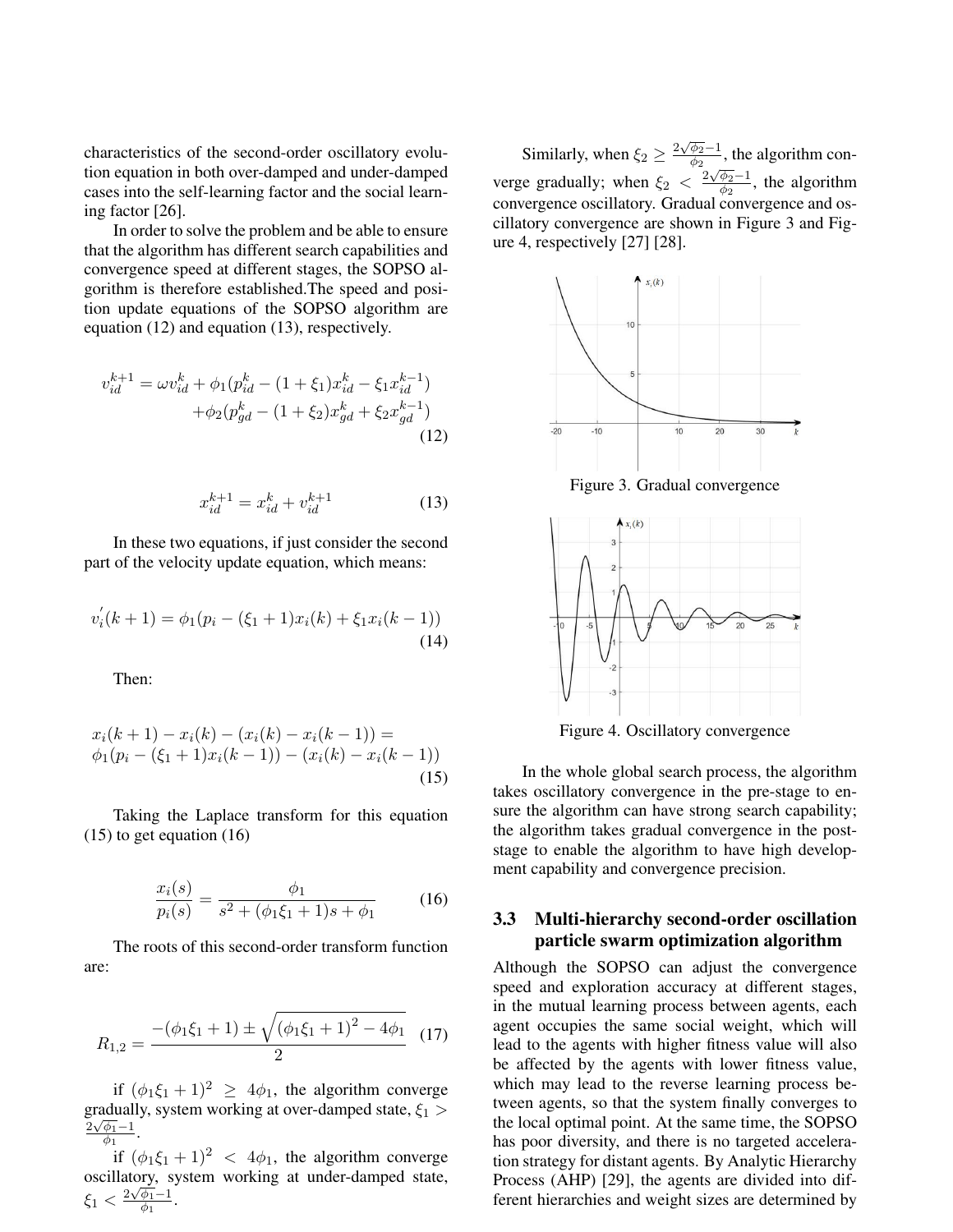characteristics of the second-order oscillatory evolution equation in both over-damped and under-damped cases into the self-learning factor and the social learning factor [26].

In order to solve the problem and be able to ensure that the algorithm has different search capabilities and convergence speed at different stages, the SOPSO algorithm is therefore established.The speed and position update equations of the SOPSO algorithm are equation (12) and equation (13), respectively.

$$
v_{id}^{k+1} = \omega v_{id}^k + \phi_1 (p_{id}^k - (1 + \xi_1) x_{id}^k - \xi_1 x_{id}^{k-1})
$$

$$
+ \phi_2 (p_{gd}^k - (1 + \xi_2) x_{gd}^k + \xi_2 x_{gd}^{k-1})
$$
(12)

$$
x_{id}^{k+1} = x_{id}^k + v_{id}^{k+1}
$$
 (13)

In these two equations, if just consider the second part of the velocity update equation, which means:

$$
v_i'(k+1) = \phi_1(p_i - (\xi_1 + 1)x_i(k) + \xi_1 x_i(k-1))
$$
\n(14)

Then:

$$
x_i(k+1) - x_i(k) - (x_i(k) - x_i(k-1)) =
$$
  
\n
$$
\phi_1(p_i - (\xi_1 + 1)x_i(k-1)) - (x_i(k) - x_i(k-1))
$$
\n(15)

Taking the Laplace transform for this equation (15) to get equation (16)

$$
\frac{x_i(s)}{p_i(s)} = \frac{\phi_1}{s^2 + (\phi_1 \xi_1 + 1)s + \phi_1}
$$
 (16)

The roots of this second-order transform function are:

$$
R_{1,2} = \frac{-\left(\phi_1 \xi_1 + 1\right) \pm \sqrt{\left(\phi_1 \xi_1 + 1\right)^2 - 4\phi_1}}{2} \tag{17}
$$

if  $(\phi_1 \xi_1 + 1)^2 \ge 4\phi_1$ , the algorithm converge gradually, system working at over-damped state,  $\xi_1 >$  $2\sqrt{\phi_1} - 1$  $\frac{\varphi_1 - 1}{\phi_1}$ .

if  $(\phi_1 \xi_1 + 1)^2$  <  $4\phi_1$ , the algorithm converge oscillatory, system working at under-damped state,  $\xi_1 < \frac{2\sqrt{\phi_1}-1}{\phi_1}$  $\frac{\varphi_1 - 1}{\varphi_1}$ .

Similarly, when  $\xi_2 \geq \frac{2\sqrt{\phi_2}-1}{\phi_2}$  $\frac{\varphi_2-1}{\varphi_2}$ , the algorithm converge gradually; when  $\xi_2 < \frac{2\sqrt{\phi_2}-1}{\phi_2}$  $\frac{\varphi_2-1}{\varphi_2}$ , the algorithm convergence oscillatory. Gradual convergence and oscillatory convergence are shown in Figure 3 and Figure 4, respectively [27] [28].



Figure 4. Oscillatory convergence

In the whole global search process, the algorithm takes oscillatory convergence in the pre-stage to ensure the algorithm can have strong search capability; the algorithm takes gradual convergence in the poststage to enable the algorithm to have high development capability and convergence precision.

## 3.3 Multi-hierarchy second-order oscillation particle swarm optimization algorithm

Although the SOPSO can adjust the convergence speed and exploration accuracy at different stages, in the mutual learning process between agents, each agent occupies the same social weight, which will lead to the agents with higher fitness value will also be affected by the agents with lower fitness value, which may lead to the reverse learning process between agents, so that the system finally converges to the local optimal point. At the same time, the SOPSO has poor diversity, and there is no targeted acceleration strategy for distant agents. By Analytic Hierarchy Process (AHP) [29], the agents are divided into different hierarchies and weight sizes are determined by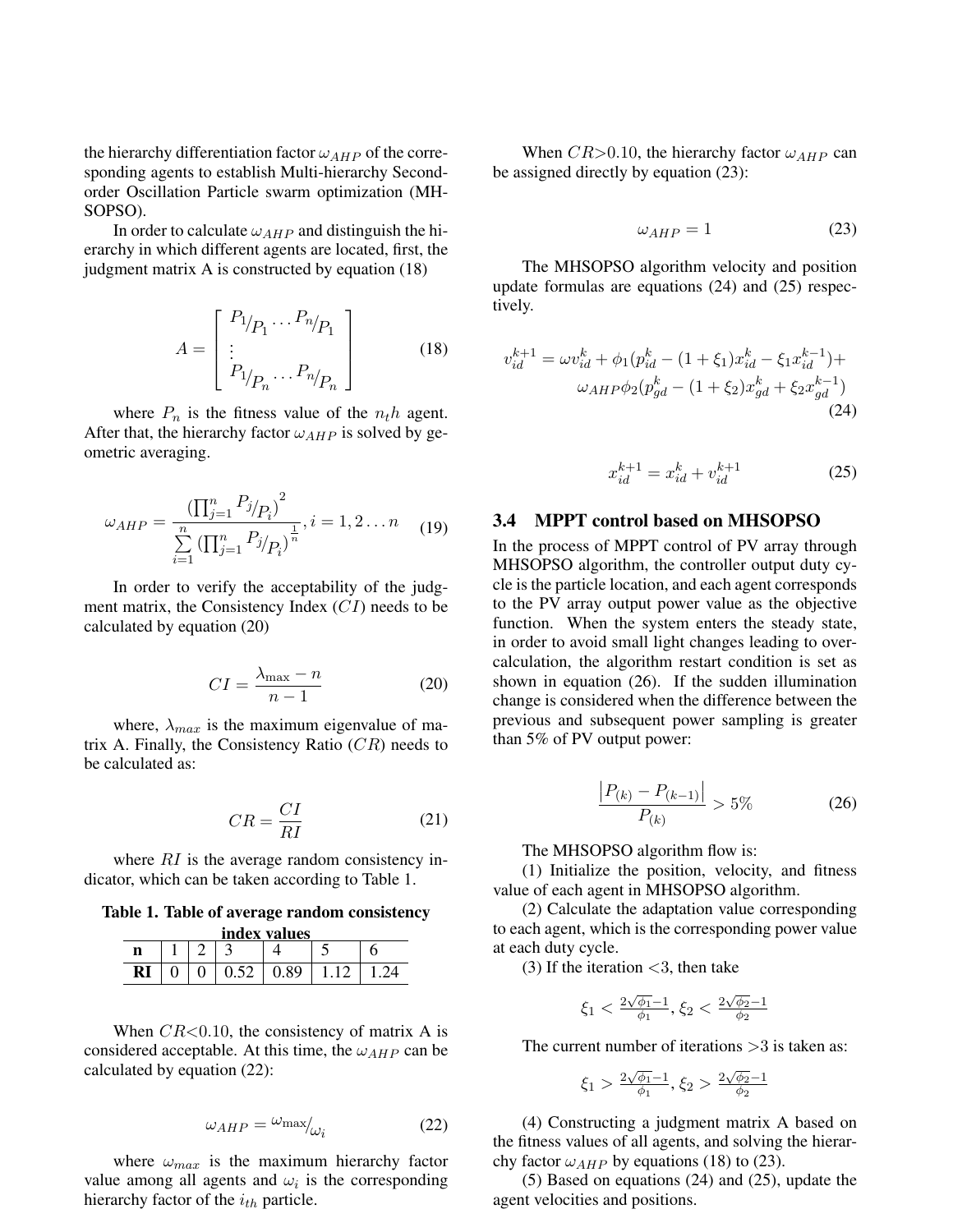the hierarchy differentiation factor  $\omega_{AHP}$  of the corresponding agents to establish Multi-hierarchy Secondorder Oscillation Particle swarm optimization (MH-SOPSO).

In order to calculate  $\omega_{AHP}$  and distinguish the hierarchy in which different agents are located, first, the judgment matrix A is constructed by equation (18)

$$
A = \begin{bmatrix} P_{1} & P_{1} & P_{n} \\ \vdots & \vdots & \vdots \\ P_{1} & P_{n} & P_{n} \end{bmatrix}
$$
 (18)

where  $P_n$  is the fitness value of the  $n<sub>t</sub>h$  agent. After that, the hierarchy factor  $\omega_{AHP}$  is solved by geometric averaging.

$$
\omega_{AHP} = \frac{\left(\prod_{j=1}^{n} P_j / P_i\right)^2}{\sum_{i=1}^{n} \left(\prod_{j=1}^{n} P_j / P_i\right)^{\frac{1}{n}}}, i = 1, 2 \dots n \quad (19)
$$

In order to verify the acceptability of the judgment matrix, the Consistency Index  $(CI)$  needs to be calculated by equation (20)

$$
CI = \frac{\lambda_{\text{max}} - n}{n - 1} \tag{20}
$$

where,  $\lambda_{max}$  is the maximum eigenvalue of matrix A. Finally, the Consistency Ratio  $(CR)$  needs to be calculated as:

$$
CR = \frac{CI}{RI} \tag{21}
$$

where  $RI$  is the average random consistency indicator, which can be taken according to Table 1.

Table 1. Table of average random consistency  $ind_{\alpha}$  values  $i_{\alpha}$ 

| index values |  |  |      |      |  |  |  |
|--------------|--|--|------|------|--|--|--|
|              |  |  |      |      |  |  |  |
| R)           |  |  | 0.52 | 0.89 |  |  |  |

When  $CR < 0.10$ , the consistency of matrix A is considered acceptable. At this time, the  $\omega_{AHP}$  can be calculated by equation (22):

$$
\omega_{AHP} = \omega_{\text{max}}/_{\omega_i} \tag{22}
$$

where  $\omega_{max}$  is the maximum hierarchy factor value among all agents and  $\omega_i$  is the corresponding hierarchy factor of the  $i_{th}$  particle.

When  $CR > 0.10$ , the hierarchy factor  $\omega_{AHP}$  can be assigned directly by equation (23):

$$
\omega_{AHP} = 1 \tag{23}
$$

The MHSOPSO algorithm velocity and position update formulas are equations (24) and (25) respectively.

$$
v_{id}^{k+1} = \omega v_{id}^k + \phi_1 (p_{id}^k - (1 + \xi_1) x_{id}^k - \xi_1 x_{id}^{k-1}) +
$$

$$
\omega_{AHP} \phi_2 (p_{gd}^k - (1 + \xi_2) x_{gd}^k + \xi_2 x_{gd}^{k-1})
$$
(24)

$$
x_{id}^{k+1} = x_{id}^k + v_{id}^{k+1}
$$
 (25)

#### 3.4 MPPT control based on MHSOPSO

In the process of MPPT control of PV array through MHSOPSO algorithm, the controller output duty cycle is the particle location, and each agent corresponds to the PV array output power value as the objective function. When the system enters the steady state, in order to avoid small light changes leading to overcalculation, the algorithm restart condition is set as shown in equation (26). If the sudden illumination change is considered when the difference between the previous and subsequent power sampling is greater than 5% of PV output power:

$$
\frac{|P_{(k)} - P_{(k-1)}|}{P_{(k)}} > 5\%
$$
\n(26)

The MHSOPSO algorithm flow is:

(1) Initialize the position, velocity, and fitness value of each agent in MHSOPSO algorithm.

(2) Calculate the adaptation value corresponding to each agent, which is the corresponding power value at each duty cycle.

(3) If the iteration  $<$ 3, then take

$$
\xi_1 < \frac{2\sqrt{\phi_1} - 1}{\phi_1}, \xi_2 < \frac{2\sqrt{\phi_2} - 1}{\phi_2}
$$

The current number of iterations  $>3$  is taken as:

$$
\xi_1 > \frac{2\sqrt{\phi_1} - 1}{\phi_1}, \xi_2 > \frac{2\sqrt{\phi_2} - 1}{\phi_2}
$$

(4) Constructing a judgment matrix A based on the fitness values of all agents, and solving the hierarchy factor  $\omega_{AHP}$  by equations (18) to (23).

(5) Based on equations (24) and (25), update the agent velocities and positions.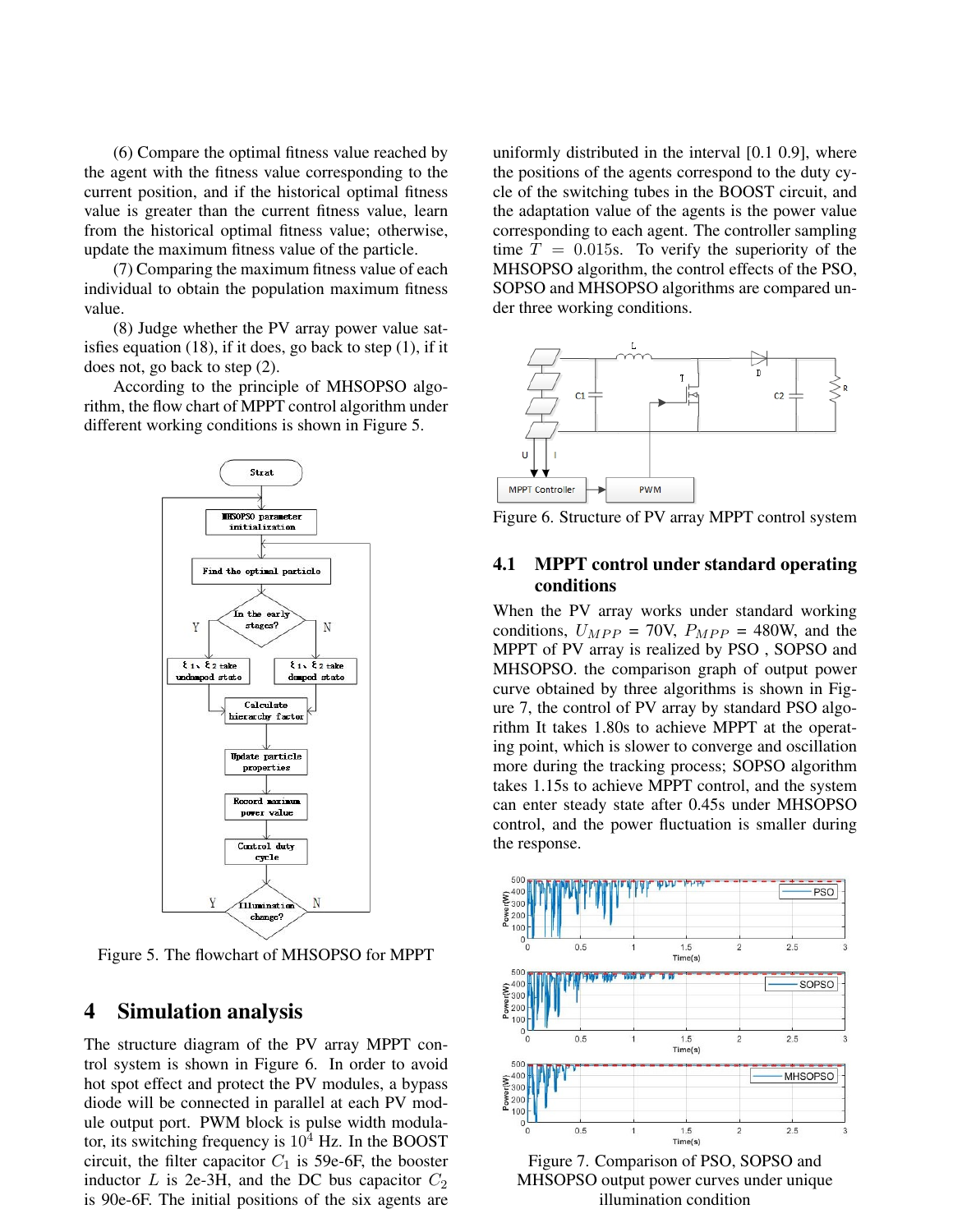(6) Compare the optimal fitness value reached by the agent with the fitness value corresponding to the current position, and if the historical optimal fitness value is greater than the current fitness value, learn from the historical optimal fitness value; otherwise, update the maximum fitness value of the particle.

(7) Comparing the maximum fitness value of each individual to obtain the population maximum fitness value.

(8) Judge whether the PV array power value satisfies equation (18), if it does, go back to step (1), if it does not, go back to step (2).

According to the principle of MHSOPSO algorithm, the flow chart of MPPT control algorithm under different working conditions is shown in Figure 5.



Figure 5. The flowchart of MHSOPSO for MPPT

## 4 Simulation analysis

The structure diagram of the PV array MPPT control system is shown in Figure 6. In order to avoid hot spot effect and protect the PV modules, a bypass diode will be connected in parallel at each PV module output port. PWM block is pulse width modulator, its switching frequency is  $10^4$  Hz. In the BOOST circuit, the filter capacitor  $C_1$  is 59e-6F, the booster inductor  $L$  is 2e-3H, and the DC bus capacitor  $C_2$ is 90e-6F. The initial positions of the six agents are uniformly distributed in the interval [0.1 0.9], where the positions of the agents correspond to the duty cycle of the switching tubes in the BOOST circuit, and the adaptation value of the agents is the power value corresponding to each agent. The controller sampling time  $T = 0.015$ s. To verify the superiority of the MHSOPSO algorithm, the control effects of the PSO, SOPSO and MHSOPSO algorithms are compared under three working conditions.



Figure 6. Structure of PV array MPPT control system

## 4.1 MPPT control under standard operating conditions

When the PV array works under standard working conditions,  $U_{MPP} = 70V$ ,  $P_{MPP} = 480W$ , and the MPPT of PV array is realized by PSO , SOPSO and MHSOPSO. the comparison graph of output power curve obtained by three algorithms is shown in Figure 7, the control of PV array by standard PSO algorithm It takes 1.80s to achieve MPPT at the operating point, which is slower to converge and oscillation more during the tracking process; SOPSO algorithm takes 1.15s to achieve MPPT control, and the system can enter steady state after 0.45s under MHSOPSO control, and the power fluctuation is smaller during the response.



Figure 7. Comparison of PSO, SOPSO and MHSOPSO output power curves under unique illumination condition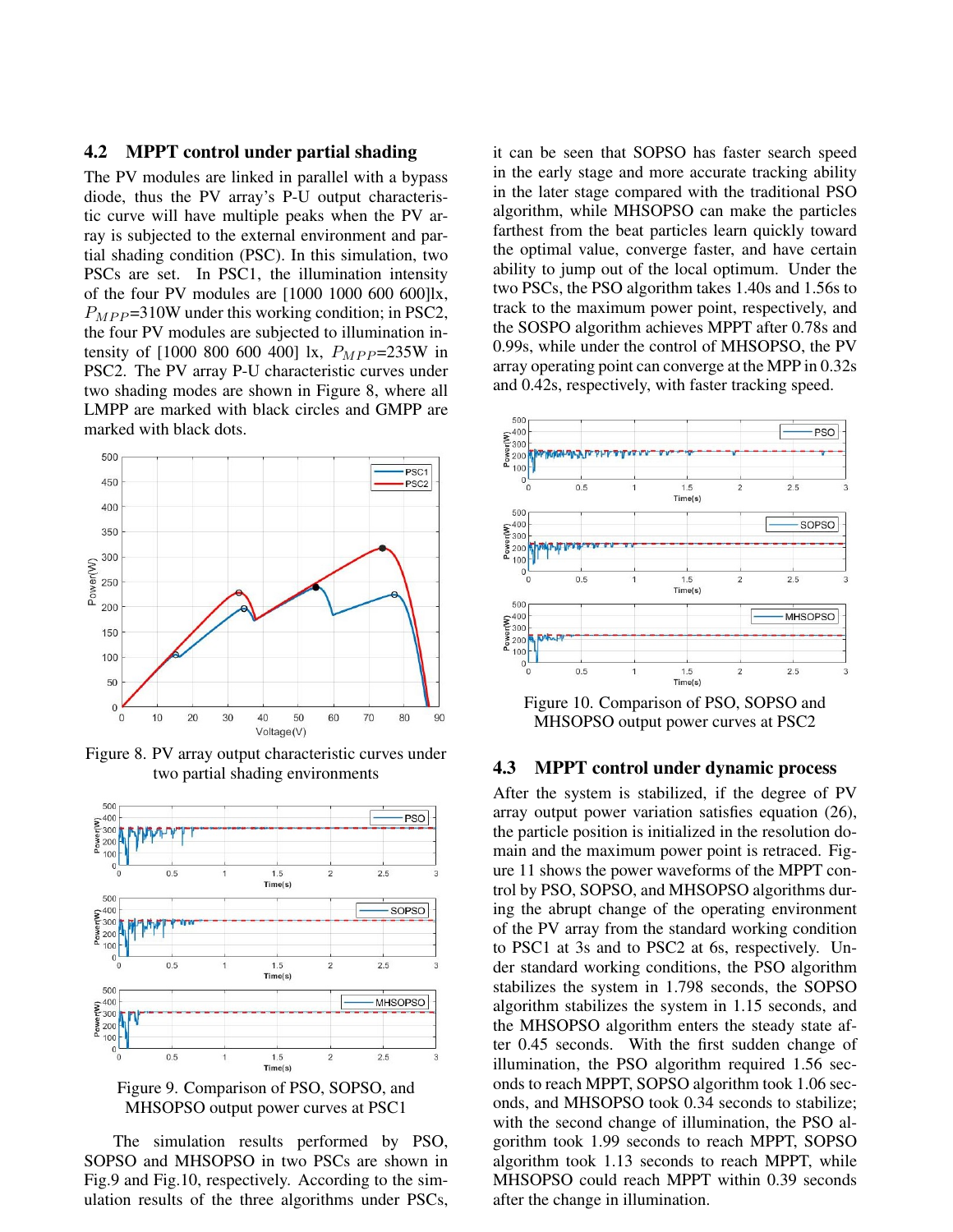### 4.2 MPPT control under partial shading

The PV modules are linked in parallel with a bypass diode, thus the PV array's P-U output characteristic curve will have multiple peaks when the PV array is subjected to the external environment and partial shading condition (PSC). In this simulation, two PSCs are set. In PSC1, the illumination intensity of the four PV modules are [1000 1000 600 600]lx,  $P_{MPP}$ =310W under this working condition; in PSC2, the four PV modules are subjected to illumination intensity of  $[1000 800 600 400]$  lx,  $P_{MPP} = 235W$  in PSC2. The PV array P-U characteristic curves under two shading modes are shown in Figure 8, where all LMPP are marked with black circles and GMPP are marked with black dots.



Figure 8. PV array output characteristic curves under two partial shading environments





The simulation results performed by PSO, SOPSO and MHSOPSO in two PSCs are shown in Fig.9 and Fig.10, respectively. According to the simulation results of the three algorithms under PSCs, it can be seen that SOPSO has faster search speed in the early stage and more accurate tracking ability in the later stage compared with the traditional PSO algorithm, while MHSOPSO can make the particles farthest from the beat particles learn quickly toward the optimal value, converge faster, and have certain ability to jump out of the local optimum. Under the two PSCs, the PSO algorithm takes 1.40s and 1.56s to track to the maximum power point, respectively, and the SOSPO algorithm achieves MPPT after 0.78s and 0.99s, while under the control of MHSOPSO, the PV array operating point can converge at the MPP in 0.32s and 0.42s, respectively, with faster tracking speed.



Figure 10. Comparison of PSO, SOPSO and MHSOPSO output power curves at PSC2

#### 4.3 MPPT control under dynamic process

After the system is stabilized, if the degree of PV array output power variation satisfies equation (26), the particle position is initialized in the resolution domain and the maximum power point is retraced. Figure 11 shows the power waveforms of the MPPT control by PSO, SOPSO, and MHSOPSO algorithms during the abrupt change of the operating environment of the PV array from the standard working condition to PSC1 at 3s and to PSC2 at 6s, respectively. Under standard working conditions, the PSO algorithm stabilizes the system in 1.798 seconds, the SOPSO algorithm stabilizes the system in 1.15 seconds, and the MHSOPSO algorithm enters the steady state after 0.45 seconds. With the first sudden change of illumination, the PSO algorithm required 1.56 seconds to reach MPPT, SOPSO algorithm took 1.06 seconds, and MHSOPSO took 0.34 seconds to stabilize; with the second change of illumination, the PSO algorithm took 1.99 seconds to reach MPPT, SOPSO algorithm took 1.13 seconds to reach MPPT, while MHSOPSO could reach MPPT within 0.39 seconds after the change in illumination.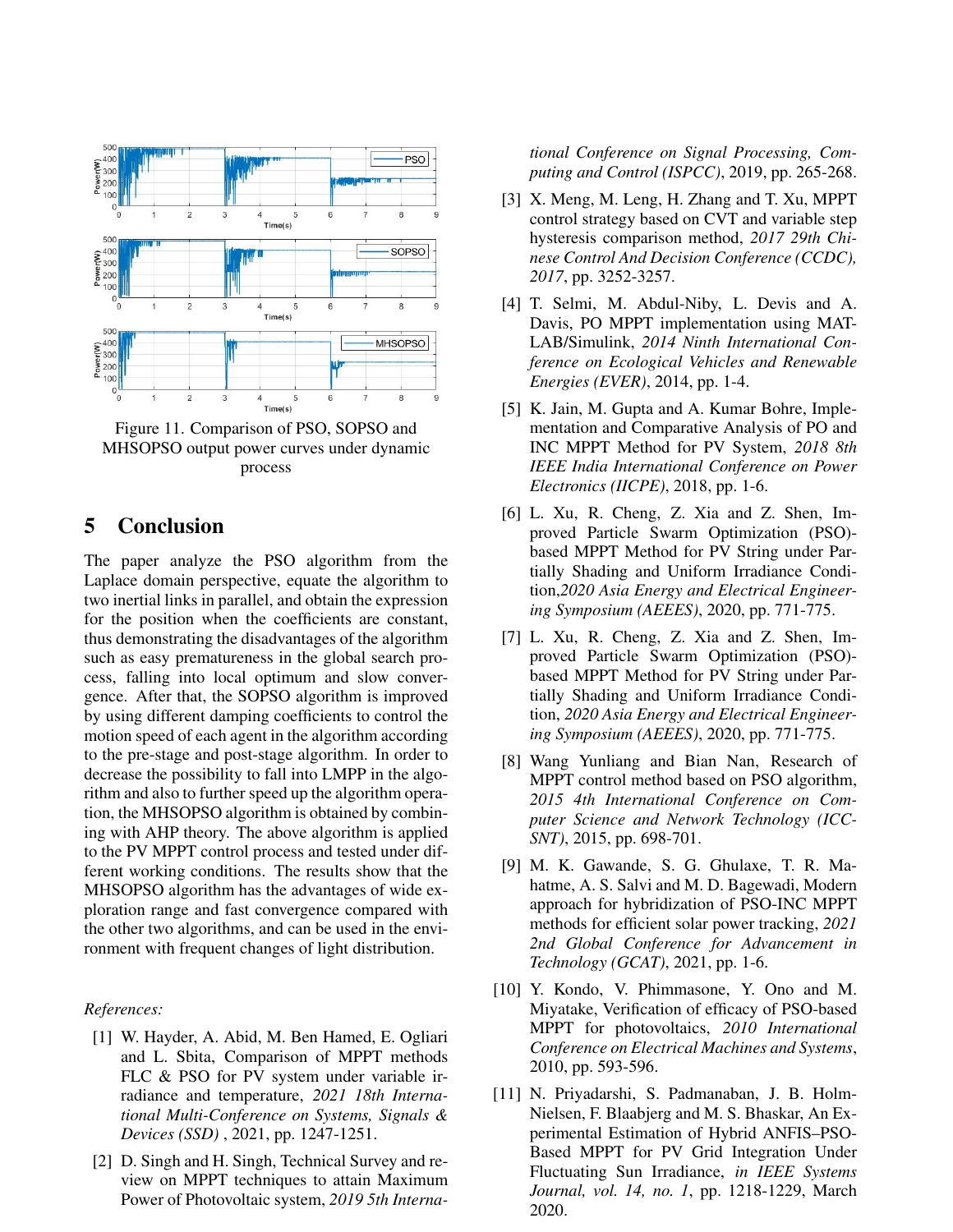

Figure 11. Comparison of PSO, SOPSO and MHSOPSO output power curves under dynamic process

## 5 Conclusion

The paper analyze the PSO algorithm from the Laplace domain perspective, equate the algorithm to two inertial links in parallel, and obtain the expression for the position when the coefficients are constant, thus demonstrating the disadvantages of the algorithm such as easy prematureness in the global search process, falling into local optimum and slow convergence. After that, the SOPSO algorithm is improved by using different damping coefficients to control the motion speed of each agent in the algorithm according to the pre-stage and post-stage algorithm. In order to decrease the possibility to fall into LMPP in the algorithm and also to further speed up the algorithm operation, the MHSOPSO algorithm is obtained by combining with AHP theory. The above algorithm is applied to the PV MPPT control process and tested under different working conditions. The results show that the MHSOPSO algorithm has the advantages of wide exploration range and fast convergence compared with the other two algorithms, and can be used in the environment with frequent changes of light distribution.

#### *References:*

- [1] W. Hayder, A. Abid, M. Ben Hamed, E. Ogliari and L. Sbita, Comparison of MPPT methods FLC & PSO for PV system under variable irradiance and temperature, *2021 18th International Multi-Conference on Systems, Signals & Devices (SSD)* , 2021, pp. 1247-1251.
- [2] D. Singh and H. Singh, Technical Survey and review on MPPT techniques to attain Maximum Power of Photovoltaic system, *2019 5th Interna-*

*tional Conference on Signal Processing, Computing and Control (ISPCC)*, 2019, pp. 265-268.

- [3] X. Meng, M. Leng, H. Zhang and T. Xu, MPPT control strategy based on CVT and variable step hysteresis comparison method, *2017 29th Chinese Control And Decision Conference (CCDC), 2017*, pp. 3252-3257.
- [4] T. Selmi, M. Abdul-Niby, L. Devis and A. Davis, PO MPPT implementation using MAT-LAB/Simulink, *2014 Ninth International Conference on Ecological Vehicles and Renewable Energies (EVER)*, 2014, pp. 1-4.
- [5] K. Jain, M. Gupta and A. Kumar Bohre, Implementation and Comparative Analysis of PO and INC MPPT Method for PV System, *2018 8th IEEE India International Conference on Power Electronics (IICPE)*, 2018, pp. 1-6.
- [6] L. Xu, R. Cheng, Z. Xia and Z. Shen, Improved Particle Swarm Optimization (PSO) based MPPT Method for PV String under Partially Shading and Uniform Irradiance Condition,*2020 Asia Energy and Electrical Engineering Symposium (AEEES)*, 2020, pp. 771-775.
- [7] L. Xu, R. Cheng, Z. Xia and Z. Shen, Improved Particle Swarm Optimization (PSO) based MPPT Method for PV String under Partially Shading and Uniform Irradiance Condition, *2020 Asia Energy and Electrical Engineering Symposium (AEEES)*, 2020, pp. 771-775.
- [8] Wang Yunliang and Bian Nan, Research of MPPT control method based on PSO algorithm, *2015 4th International Conference on Computer Science and Network Technology (ICC-SNT)*, 2015, pp. 698-701.
- [9] M. K. Gawande, S. G. Ghulaxe, T. R. Mahatme, A. S. Salvi and M. D. Bagewadi, Modern approach for hybridization of PSO-INC MPPT methods for efficient solar power tracking, *2021 2nd Global Conference for Advancement in Technology (GCAT)*, 2021, pp. 1-6.
- [10] Y. Kondo, V. Phimmasone, Y. Ono and M. Miyatake, Verification of efficacy of PSO-based MPPT for photovoltaics, *2010 International Conference on Electrical Machines and Systems*, 2010, pp. 593-596.
- [11] N. Priyadarshi, S. Padmanaban, J. B. Holm-Nielsen, F. Blaabjerg and M. S. Bhaskar, An Experimental Estimation of Hybrid ANFIS–PSO-Based MPPT for PV Grid Integration Under Fluctuating Sun Irradiance, *in IEEE Systems Journal, vol. 14, no. 1*, pp. 1218-1229, March 2020.